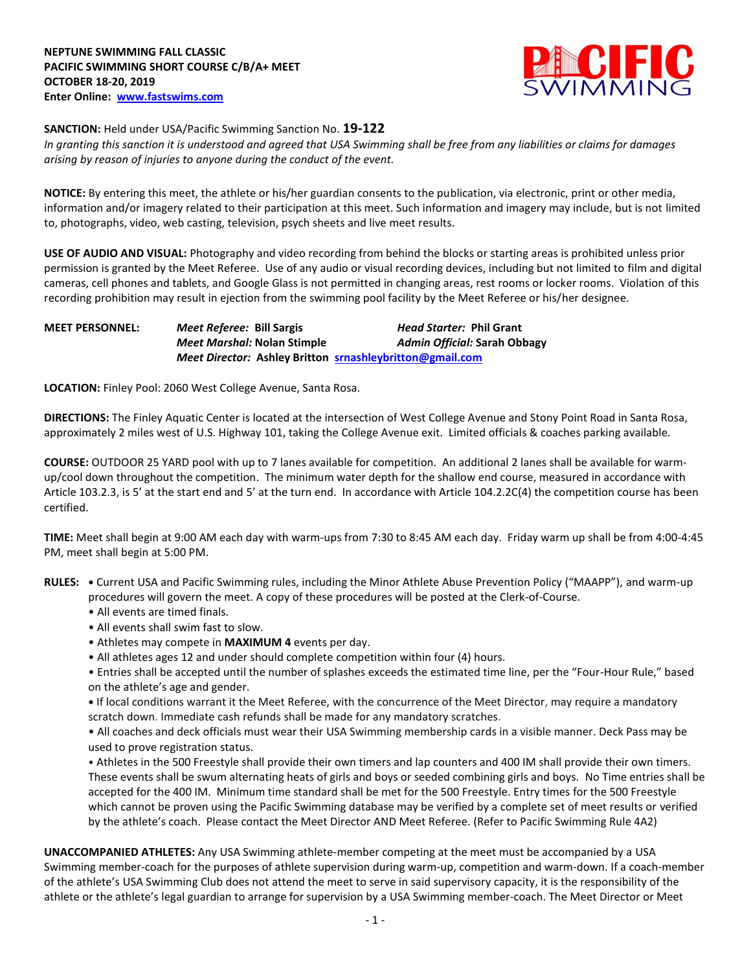

# **SANCTION:** Held under USA/Pacific Swimming Sanction No. **19-122**

*In granting this sanction it is understood and agreed that USA Swimming shall be free from any liabilities or claims for damages arising by reason of injuries to anyone during the conduct of the event.* 

**NOTICE:** By entering this meet, the athlete or his/her guardian consents to the publication, via electronic, print or other media, information and/or imagery related to their participation at this meet. Such information and imagery may include, but is not limited to, photographs, video, web casting, television, psych sheets and live meet results.

**USE OF AUDIO AND VISUAL:** Photography and video recording from behind the blocks or starting areas is prohibited unless prior permission is granted by the Meet Referee. Use of any audio or visual recording devices, including but not limited to film and digital cameras, cell phones and tablets, and Google Glass is not permitted in changing areas, rest rooms or locker rooms. Violation of this recording prohibition may result in ejection from the swimming pool facility by the Meet Referee or his/her designee.

# **MEET PERSONNEL:** *Meet Referee:* **Bill Sargis** *Head Starter:* **Phil Grant** *Meet Marshal:* **Nolan Stimple** *Admin Official:* **Sarah Obbagy** *Meet Director:* **Ashley Britton [srnashleybritton@gmail.com](mailto:srnashleybritton@gmail.com)**

**LOCATION:** Finley Pool: 2060 West College Avenue, Santa Rosa.

**DIRECTIONS:** The Finley Aquatic Center is located at the intersection of West College Avenue and Stony Point Road in Santa Rosa, approximately 2 miles west of U.S. Highway 101, taking the College Avenue exit. Limited officials & coaches parking available.

**COURSE:** OUTDOOR 25 YARD pool with up to 7 lanes available for competition. An additional 2 lanes shall be available for warmup/cool down throughout the competition. The minimum water depth for the shallow end course, measured in accordance with Article 103.2.3, is 5' at the start end and 5' at the turn end. In accordance with Article 104.2.2C(4) the competition course has been certified.

**TIME:** Meet shall begin at 9:00 AM each day with warm-ups from 7:30 to 8:45 AM each day. Friday warm up shall be from 4:00-4:45 PM, meet shall begin at 5:00 PM.

- **RULES: •** Current USA and Pacific Swimming rules, including the Minor Athlete Abuse Prevention Policy ("MAAPP"), and warm-up procedures will govern the meet. A copy of these procedures will be posted at the Clerk-of-Course.
	- All events are timed finals.
	- All events shall swim fast to slow.
	- Athletes may compete in **MAXIMUM 4** events per day.
	- All athletes ages 12 and under should complete competition within four (4) hours.
	- Entries shall be accepted until the number of splashes exceeds the estimated time line, per the "Four-Hour Rule," based on the athlete's age and gender.

**•** If local conditions warrant it the Meet Referee, with the concurrence of the Meet Director, may require a mandatory scratch down. Immediate cash refunds shall be made for any mandatory scratches.

• All coaches and deck officials must wear their USA Swimming membership cards in a visible manner. Deck Pass may be used to prove registration status.

• Athletes in the 500 Freestyle shall provide their own timers and lap counters and 400 IM shall provide their own timers. These events shall be swum alternating heats of girls and boys or seeded combining girls and boys. No Time entries shall be accepted for the 400 IM. Minimum time standard shall be met for the 500 Freestyle. Entry times for the 500 Freestyle which cannot be proven using the Pacific Swimming database may be verified by a complete set of meet results or verified by the athlete's coach. Please contact the Meet Director AND Meet Referee. (Refer to Pacific Swimming Rule 4A2)

**UNACCOMPANIED ATHLETES:** Any USA Swimming athlete-member competing at the meet must be accompanied by a USA Swimming member-coach for the purposes of athlete supervision during warm-up, competition and warm-down. If a coach-member of the athlete's USA Swimming Club does not attend the meet to serve in said supervisory capacity, it is the responsibility of the athlete or the athlete's legal guardian to arrange for supervision by a USA Swimming member-coach. The Meet Director or Meet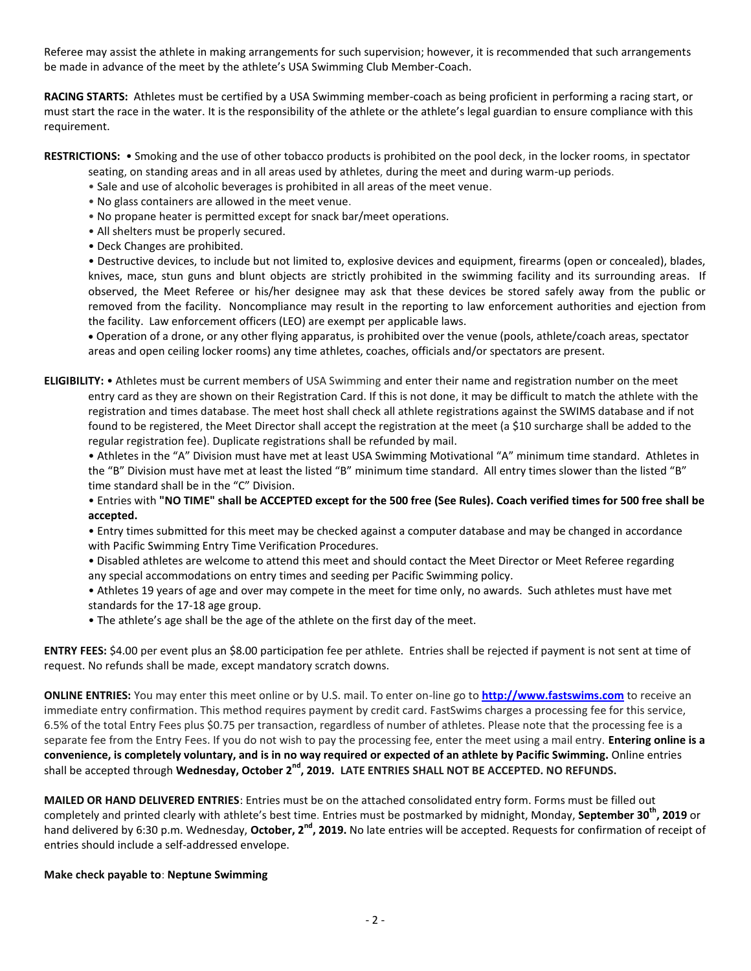Referee may assist the athlete in making arrangements for such supervision; however, it is recommended that such arrangements be made in advance of the meet by the athlete's USA Swimming Club Member-Coach.

**RACING STARTS:** Athletes must be certified by a USA Swimming member-coach as being proficient in performing a racing start, or must start the race in the water. It is the responsibility of the athlete or the athlete's legal guardian to ensure compliance with this requirement.

**RESTRICTIONS:** • Smoking and the use of other tobacco products is prohibited on the pool deck, in the locker rooms, in spectator

- seating, on standing areas and in all areas used by athletes, during the meet and during warm-up periods.
- Sale and use of alcoholic beverages is prohibited in all areas of the meet venue.
- No glass containers are allowed in the meet venue.
- No propane heater is permitted except for snack bar/meet operations.
- All shelters must be properly secured.
- Deck Changes are prohibited.

• Destructive devices, to include but not limited to, explosive devices and equipment, firearms (open or concealed), blades, knives, mace, stun guns and blunt objects are strictly prohibited in the swimming facility and its surrounding areas. If observed, the Meet Referee or his/her designee may ask that these devices be stored safely away from the public or removed from the facility. Noncompliance may result in the reporting to law enforcement authorities and ejection from the facility. Law enforcement officers (LEO) are exempt per applicable laws.

 Operation of a drone, or any other flying apparatus, is prohibited over the venue (pools, athlete/coach areas, spectator areas and open ceiling locker rooms) any time athletes, coaches, officials and/or spectators are present.

**ELIGIBILITY:** • Athletes must be current members of USA Swimming and enter their name and registration number on the meet entry card as they are shown on their Registration Card. If this is not done, it may be difficult to match the athlete with the registration and times database. The meet host shall check all athlete registrations against the SWIMS database and if not found to be registered, the Meet Director shall accept the registration at the meet (a \$10 surcharge shall be added to the regular registration fee). Duplicate registrations shall be refunded by mail.

• Athletes in the "A" Division must have met at least USA Swimming Motivational "A" minimum time standard. Athletes in the "B" Division must have met at least the listed "B" minimum time standard. All entry times slower than the listed "B" time standard shall be in the "C" Division.

• Entries with **"NO TIME" shall be ACCEPTED except for the 500 free (See Rules). Coach verified times for 500 free shall be accepted.**

• Entry times submitted for this meet may be checked against a computer database and may be changed in accordance with Pacific Swimming Entry Time Verification Procedures.

• Disabled athletes are welcome to attend this meet and should contact the Meet Director or Meet Referee regarding any special accommodations on entry times and seeding per Pacific Swimming policy.

• Athletes 19 years of age and over may compete in the meet for time only, no awards. Such athletes must have met standards for the 17-18 age group.

• The athlete's age shall be the age of the athlete on the first day of the meet.

**ENTRY FEES:** \$4.00 per event plus an \$8.00 participation fee per athlete. Entries shall be rejected if payment is not sent at time of request. No refunds shall be made, except mandatory scratch downs.

**ONLINE ENTRIES:** You may enter this meet online or by U.S. mail. To enter on-line go to **[http://www.fastswims.com](http://www.fastswims.com/)** to receive an immediate entry confirmation. This method requires payment by credit card. FastSwims charges a processing fee for this service, 6.5% of the total Entry Fees plus \$0.75 per transaction, regardless of number of athletes. Please note that the processing fee is a separate fee from the Entry Fees. If you do not wish to pay the processing fee, enter the meet using a mail entry. **Entering online is a convenience, is completely voluntary, and is in no way required or expected of an athlete by Pacific Swimming.** Online entries shall be accepted through **Wednesday, October 2nd, 2019. LATE ENTRIES SHALL NOT BE ACCEPTED. NO REFUNDS.**

**MAILED OR HAND DELIVERED ENTRIES**: Entries must be on the attached consolidated entry form. Forms must be filled out completely and printed clearly with athlete's best time. Entries must be postmarked by midnight, Monday, **September 30th, 2019** or hand delivered by 6:30 p.m. Wednesday, October, 2<sup>nd</sup>, 2019. No late entries will be accepted. Requests for confirmation of receipt of entries should include a self-addressed envelope.

# **Make check payable to**: **Neptune Swimming**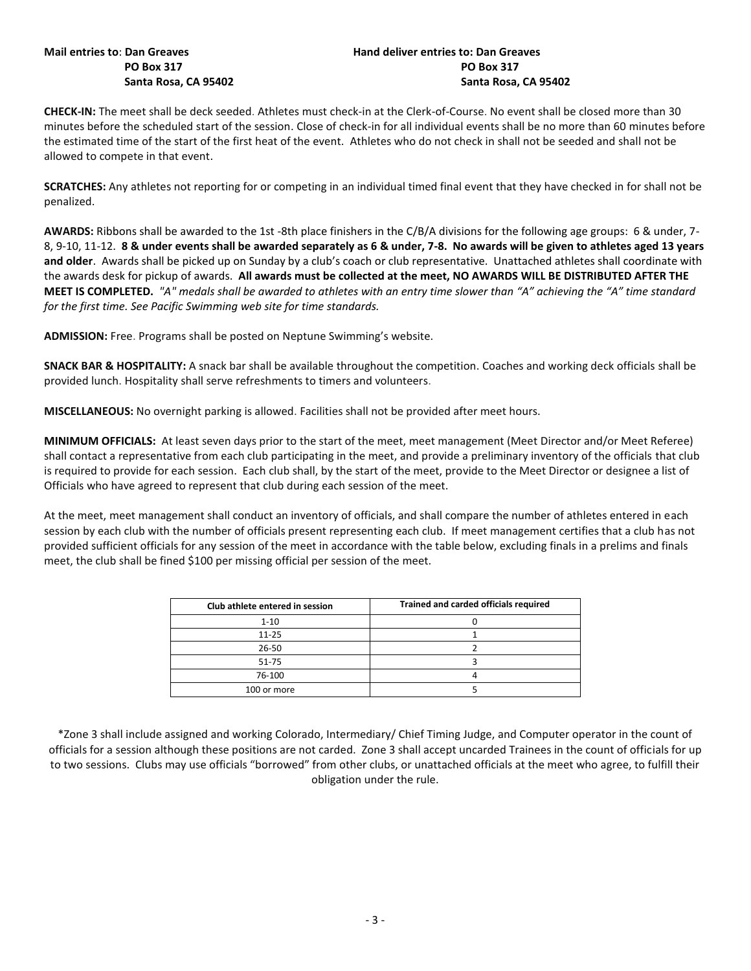# **Mail entries to**: **Dan Greaves Hand deliver entries to: Dan Greaves PO Box 317 PO Box 317 Santa Rosa, CA 95402 Santa Rosa, CA 95402**

**CHECK-IN:** The meet shall be deck seeded. Athletes must check-in at the Clerk-of-Course. No event shall be closed more than 30 minutes before the scheduled start of the session. Close of check-in for all individual events shall be no more than 60 minutes before the estimated time of the start of the first heat of the event. Athletes who do not check in shall not be seeded and shall not be allowed to compete in that event.

**SCRATCHES:** Any athletes not reporting for or competing in an individual timed final event that they have checked in for shall not be penalized.

**AWARDS:** Ribbons shall be awarded to the 1st -8th place finishers in the C/B/A divisions for the following age groups: 6 & under, 7- 8, 9-10, 11-12. **8 & under events shall be awarded separately as 6 & under, 7-8. No awards will be given to athletes aged 13 years and older**. Awards shall be picked up on Sunday by a club's coach or club representative. Unattached athletes shall coordinate with the awards desk for pickup of awards. **All awards must be collected at the meet, NO AWARDS WILL BE DISTRIBUTED AFTER THE MEET IS COMPLETED.** *"A" medals shall be awarded to athletes with an entry time slower than "A" achieving the "A" time standard for the first time. See Pacific Swimming web site for time standards.*

**ADMISSION:** Free. Programs shall be posted on Neptune Swimming's website.

**SNACK BAR & HOSPITALITY:** A snack bar shall be available throughout the competition. Coaches and working deck officials shall be provided lunch. Hospitality shall serve refreshments to timers and volunteers.

**MISCELLANEOUS:** No overnight parking is allowed. Facilities shall not be provided after meet hours.

**MINIMUM OFFICIALS:** At least seven days prior to the start of the meet, meet management (Meet Director and/or Meet Referee) shall contact a representative from each club participating in the meet, and provide a preliminary inventory of the officials that club is required to provide for each session. Each club shall, by the start of the meet, provide to the Meet Director or designee a list of Officials who have agreed to represent that club during each session of the meet.

At the meet, meet management shall conduct an inventory of officials, and shall compare the number of athletes entered in each session by each club with the number of officials present representing each club. If meet management certifies that a club has not provided sufficient officials for any session of the meet in accordance with the table below, excluding finals in a prelims and finals meet, the club shall be fined \$100 per missing official per session of the meet.

| Club athlete entered in session | Trained and carded officials required |
|---------------------------------|---------------------------------------|
| $1 - 10$                        |                                       |
| $11 - 25$                       |                                       |
| 26-50                           |                                       |
| 51-75                           |                                       |
| 76-100                          |                                       |
| 100 or more                     |                                       |

\*Zone 3 shall include assigned and working Colorado, Intermediary/ Chief Timing Judge, and Computer operator in the count of officials for a session although these positions are not carded. Zone 3 shall accept uncarded Trainees in the count of officials for up to two sessions. Clubs may use officials "borrowed" from other clubs, or unattached officials at the meet who agree, to fulfill their obligation under the rule.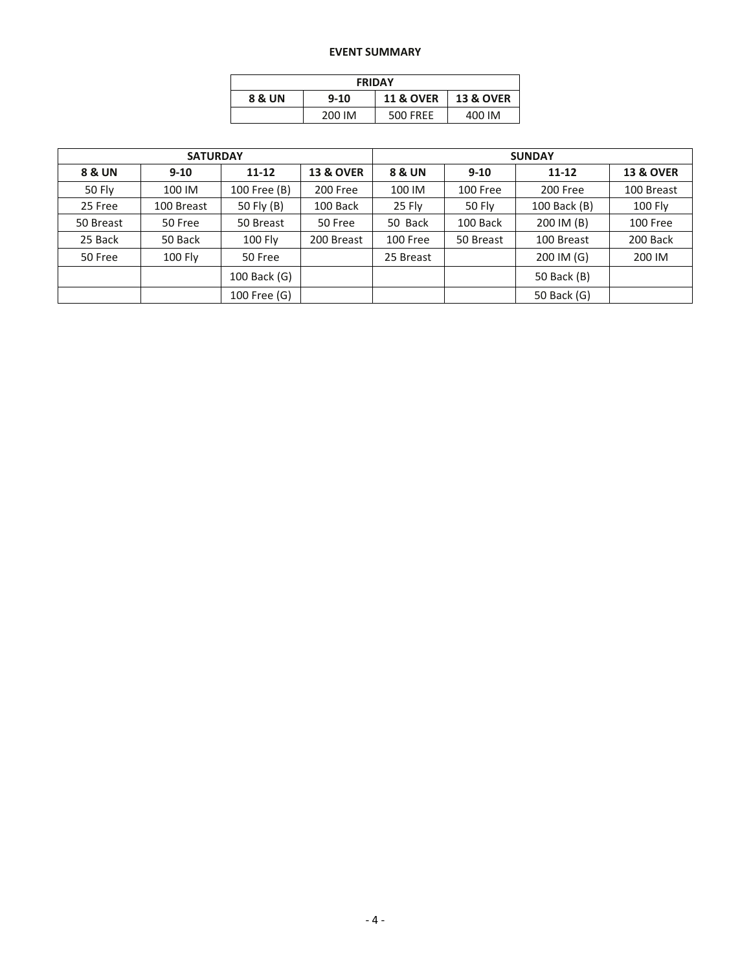# **EVENT SUMMARY**

| <b>FRIDAY</b> |          |                      |                      |  |  |  |  |  |  |
|---------------|----------|----------------------|----------------------|--|--|--|--|--|--|
| 8 & UN        | $9 - 10$ | <b>11 &amp; OVER</b> | <b>13 &amp; OVER</b> |  |  |  |  |  |  |
|               | 200 IM   | <b>500 FREE</b>      | 400 IM               |  |  |  |  |  |  |

|           | <b>SATURDAY</b> |                |                      | <b>SUNDAY</b>         |               |              |                      |  |  |
|-----------|-----------------|----------------|----------------------|-----------------------|---------------|--------------|----------------------|--|--|
| 8 & UN    | $9 - 10$        | $11 - 12$      | <b>13 &amp; OVER</b> | 8 & UN                | $9 - 10$      | $11 - 12$    | <b>13 &amp; OVER</b> |  |  |
| 50 Fly    | 100 IM          | 100 Free (B)   | 200 Free             | 100 IM                | 100 Free      | 200 Free     | 100 Breast           |  |  |
| 25 Free   | 100 Breast      | 50 Fly (B)     | 100 Back             |                       | <b>50 Fly</b> | 100 Back (B) | 100 Fly              |  |  |
| 50 Breast | 50 Free         | 50 Breast      | 50 Free              | 50 Back               | 100 Back      | 200 IM (B)   | 100 Free             |  |  |
| 25 Back   | 50 Back         | <b>100 Fly</b> | 200 Breast           | 100 Free<br>50 Breast |               | 100 Breast   | 200 Back             |  |  |
| 50 Free   | 100 Fly         | 50 Free        |                      | 25 Breast             |               | 200 IM (G)   | 200 IM               |  |  |
|           |                 | 100 Back (G)   |                      |                       |               | 50 Back (B)  |                      |  |  |
|           |                 | 100 Free (G)   |                      |                       |               | 50 Back (G)  |                      |  |  |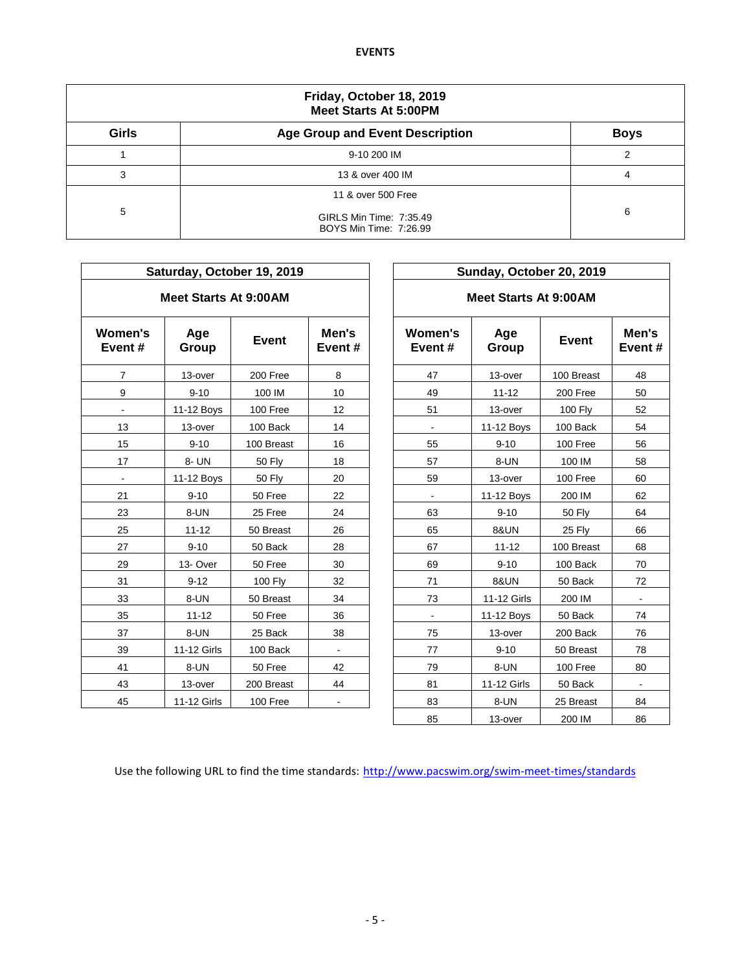|              | Friday, October 18, 2019<br><b>Meet Starts At 5:00PM</b>                       |                |  |  |  |  |  |  |  |
|--------------|--------------------------------------------------------------------------------|----------------|--|--|--|--|--|--|--|
| <b>Girls</b> | <b>Age Group and Event Description</b>                                         | <b>Boys</b>    |  |  |  |  |  |  |  |
|              | 9-10 200 IM                                                                    | $\mathfrak{p}$ |  |  |  |  |  |  |  |
| 3            | 13 & over 400 IM                                                               | 4              |  |  |  |  |  |  |  |
| 5            | 11 & over 500 Free<br>GIRLS Min Time: 7:35.49<br><b>BOYS Min Time: 7:26.99</b> | 6              |  |  |  |  |  |  |  |

|                               |                              | Saturday, October 19, 2019 |                 |                   | Sunday, October 20, 2019     |              |             |  |
|-------------------------------|------------------------------|----------------------------|-----------------|-------------------|------------------------------|--------------|-------------|--|
|                               | <b>Meet Starts At 9:00AM</b> |                            |                 |                   | <b>Meet Starts At 9:00AM</b> |              |             |  |
| <b>Women's</b><br>Event#      | Age<br>Group                 | <b>Event</b>               | Men's<br>Event# | Women's<br>Event# | Age<br>Group                 | <b>Event</b> | Men<br>Ever |  |
| $\overline{7}$                | 13-over                      | 200 Free                   | 8               | 47                | 13-over                      | 100 Breast   | 48          |  |
| 9                             | $9 - 10$                     | 100 IM                     | 10              | 49                | $11 - 12$                    | 200 Free     | 50          |  |
|                               | 11-12 Boys                   | 100 Free                   | 12              | 51                | 13-over                      | 100 Fly      | 52          |  |
| 13                            | 13-over                      | 100 Back                   | 14              |                   | 11-12 Boys                   | 100 Back     | 54          |  |
| 15                            | $9 - 10$                     | 100 Breast                 | 16              | 55                | $9 - 10$                     | 100 Free     | 56          |  |
| 17                            | 8- UN                        | <b>50 Fly</b>              | 18              | 57                | 8-UN                         | 100 IM       | 58          |  |
| $\blacksquare$                | 11-12 Boys                   | <b>50 Fly</b>              | 20              | 59                | 13-over                      | 100 Free     | 60          |  |
| 21                            | $9 - 10$                     | 50 Free                    | 22              | $\blacksquare$    | 11-12 Boys                   | 200 IM       | 62          |  |
| 23                            | 8-UN                         | 25 Free                    | 24              | 63                | $9 - 10$                     | 50 Fly       | 64          |  |
| 25                            | $11 - 12$                    | 50 Breast                  | 26              | 65                | <b>8&amp;UN</b>              | 25 Fly       | 66          |  |
| 27                            | $9 - 10$                     | 50 Back                    | 28              | 67                | $11 - 12$                    | 100 Breast   | 68          |  |
| 29                            | 13-Over                      | 50 Free                    | 30              | 69                | $9 - 10$                     | 100 Back     | 70          |  |
| 31                            | $9 - 12$                     | 100 Fly                    | 32              | 71                | <b>8&amp;UN</b>              | 50 Back      | 72          |  |
| 33                            | 8-UN                         | 50 Breast                  | 34              | 73                | 11-12 Girls                  | 200 IM       |             |  |
| 35                            | $11 - 12$                    | 50 Free                    | 36              | $\blacksquare$    | 11-12 Boys                   | 50 Back      | 74          |  |
| 37                            | 8-UN                         | 25 Back                    | 38              | 75                | 13-over                      | 200 Back     | 76          |  |
| 39                            | 11-12 Girls                  | 100 Back                   | $\blacksquare$  | 77                | $9 - 10$                     | 50 Breast    | 78          |  |
| 41                            | 8-UN                         | 50 Free                    | 42              | 79                | 8-UN                         | 100 Free     | 80          |  |
| 43                            | 13-over                      | 200 Breast                 | 44              | 81                | 11-12 Girls                  | 50 Back      |             |  |
| 45<br>11-12 Girls<br>100 Free |                              |                            | 83              | 8-UN              | 25 Breast                    | 84           |             |  |
|                               |                              |                            |                 |                   |                              |              |             |  |

| Saturday, October 19, 2019 |                       |                |                 |  | Sunday, October 20, 2019 |                 |                |                 |  |  |  |  |
|----------------------------|-----------------------|----------------|-----------------|--|--------------------------|-----------------|----------------|-----------------|--|--|--|--|
|                            | Meet Starts At 9:00AM |                |                 |  | Meet Starts At 9:00AM    |                 |                |                 |  |  |  |  |
| nen's<br>nt #              | Age<br>Group          | <b>Event</b>   | Men's<br>Event# |  | Women's<br>Event#        | Age<br>Group    | <b>Event</b>   | Men's<br>Event# |  |  |  |  |
| 7                          | 13-over               | 200 Free       | 8               |  | 47                       | 13-over         | 100 Breast     | 48              |  |  |  |  |
| 9                          | $9 - 10$              | 100 IM         | 10              |  | 49                       | $11 - 12$       | 200 Free       | 50              |  |  |  |  |
| $\blacksquare$             | 11-12 Boys            | 100 Free       | 12              |  | 51                       | 13-over         | <b>100 Fly</b> | 52              |  |  |  |  |
| $\overline{13}$            | 13-over               | 100 Back       | 14              |  | $\blacksquare$           | 11-12 Boys      | 100 Back       | 54              |  |  |  |  |
| 15                         | $9 - 10$              | 100 Breast     | 16              |  | 55                       | $9 - 10$        | 100 Free       | 56              |  |  |  |  |
| 17                         | 8- UN                 | <b>50 Fly</b>  | 18              |  | 57                       | 8-UN            | 100 IM         | 58              |  |  |  |  |
| $\blacksquare$             | 11-12 Boys            | <b>50 Fly</b>  | 20              |  | 59                       | 13-over         | 100 Free       | 60              |  |  |  |  |
| 21                         | $9 - 10$              | 50 Free        | 22              |  |                          | 11-12 Boys      | 200 IM         | 62              |  |  |  |  |
| 23                         | 8-UN                  | 25 Free        | 24              |  | 63                       | $9 - 10$        | <b>50 Fly</b>  | 64              |  |  |  |  |
| $25\,$                     | $11 - 12$             | 50 Breast      | 26              |  | 65                       | <b>8&amp;UN</b> | 25 Fly         | 66              |  |  |  |  |
| 27                         | $9 - 10$              | 50 Back        | 28              |  | 67                       | $11 - 12$       | 100 Breast     | 68              |  |  |  |  |
| $\overline{29}$            | 13-Over               | 50 Free        | 30              |  | 69                       | $9 - 10$        | 100 Back       | 70              |  |  |  |  |
| 31                         | $9 - 12$              | <b>100 Fly</b> | 32              |  | 71                       | <b>8&amp;UN</b> | 50 Back        | 72              |  |  |  |  |
| 33                         | 8-UN                  | 50 Breast      | 34              |  | 73                       | 11-12 Girls     | 200 IM         |                 |  |  |  |  |
| 35                         | $11 - 12$             | 50 Free        | 36              |  | $\blacksquare$           | 11-12 Boys      | 50 Back        | 74              |  |  |  |  |
| 37                         | 8-UN                  | 25 Back        | 38              |  | 75                       | 13-over         | 200 Back       | 76              |  |  |  |  |
| 39                         | 11-12 Girls           | 100 Back       | $\blacksquare$  |  | 77                       | $9 - 10$        | 50 Breast      | 78              |  |  |  |  |
| 11                         | 8-UN                  | 50 Free        | 42              |  | 79                       | 8-UN            | 100 Free       | 80              |  |  |  |  |
| 13                         | 13-over               | 200 Breast     | 44              |  | 81                       | 11-12 Girls     | 50 Back        | $\blacksquare$  |  |  |  |  |
| 15                         | 11-12 Girls           | 100 Free       | $\blacksquare$  |  | 83                       | 8-UN            | 25 Breast      | 84              |  |  |  |  |
|                            |                       |                |                 |  | 85                       | 13-over         | 200 IM         | 86              |  |  |  |  |

Use the following URL to find the time standards: <http://www.pacswim.org/swim-meet-times/standards>